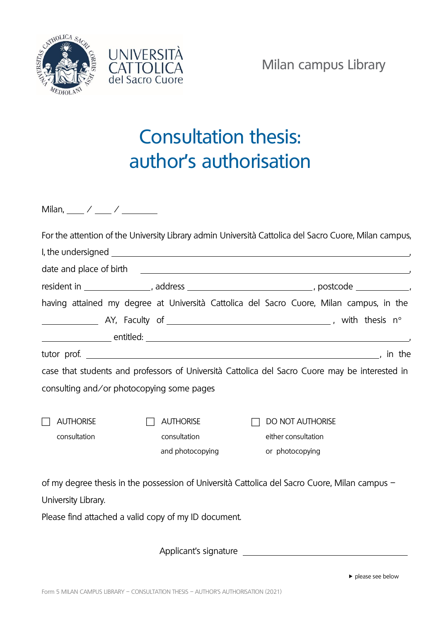



## Consultation thesis: author's authorisation

Milan,  $\frac{1}{2}$  /  $\frac{1}{2}$  /  $\frac{1}{2}$ 

|                                                      |                  | For the attention of the University Library admin Università Cattolica del Sacro Cuore, Milan campus,                                                                                                                                |  |
|------------------------------------------------------|------------------|--------------------------------------------------------------------------------------------------------------------------------------------------------------------------------------------------------------------------------------|--|
|                                                      |                  |                                                                                                                                                                                                                                      |  |
|                                                      |                  | date and place of birth <b>contract the contract of the contract of the contract of the contract of the contract of the contract of the contract of the contract of the contract of the contract of the contract of the contract</b> |  |
|                                                      |                  | resident in __________________, address ________________________________, postcode ______________,                                                                                                                                   |  |
|                                                      |                  | having attained my degree at Università Cattolica del Sacro Cuore, Milan campus, in the                                                                                                                                              |  |
|                                                      |                  |                                                                                                                                                                                                                                      |  |
|                                                      |                  |                                                                                                                                                                                                                                      |  |
|                                                      |                  |                                                                                                                                                                                                                                      |  |
|                                                      |                  | case that students and professors of Università Cattolica del Sacro Cuore may be interested in                                                                                                                                       |  |
| consulting and/or photocopying some pages            |                  |                                                                                                                                                                                                                                      |  |
|                                                      |                  |                                                                                                                                                                                                                                      |  |
| <b>AUTHORISE</b>                                     | <b>AUTHORISE</b> | <b>DO NOT AUTHORISE</b>                                                                                                                                                                                                              |  |
| consultation                                         | consultation     | either consultation                                                                                                                                                                                                                  |  |
|                                                      | and photocopying | or photocopying                                                                                                                                                                                                                      |  |
|                                                      |                  | of my degree thesis in the possession of Università Cattolica del Sacro Cuore, Milan campus -                                                                                                                                        |  |
| University Library.                                  |                  |                                                                                                                                                                                                                                      |  |
| Please find attached a valid copy of my ID document. |                  |                                                                                                                                                                                                                                      |  |
|                                                      |                  |                                                                                                                                                                                                                                      |  |
|                                                      |                  |                                                                                                                                                                                                                                      |  |

Applicant's signature